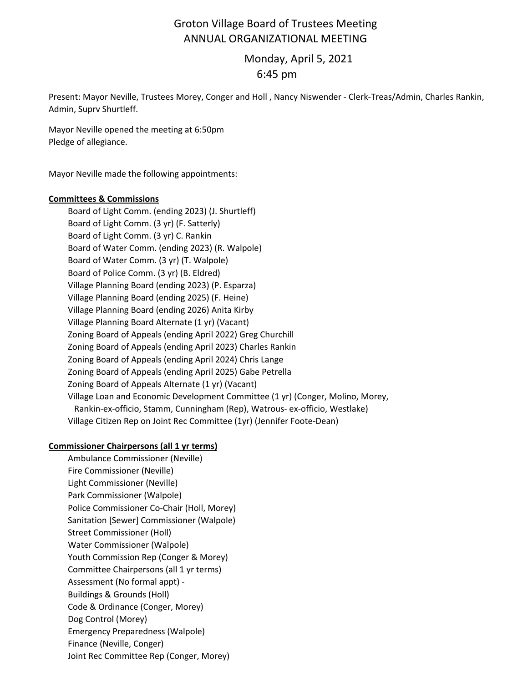# Groton Village Board of Trustees Meeting ANNUAL ORGANIZATIONAL MEETING

 Monday, April 5, 2021 6:45 pm

Present: Mayor Neville, Trustees Morey, Conger and Holl , Nancy Niswender ‐ Clerk‐Treas/Admin, Charles Rankin, Admin, Suprv Shurtleff.

Mayor Neville opened the meeting at 6:50pm Pledge of allegiance.

Mayor Neville made the following appointments:

### **Committees & Commissions**

Board of Light Comm. (ending 2023) (J. Shurtleff) Board of Light Comm. (3 yr) (F. Satterly) Board of Light Comm. (3 yr) C. Rankin Board of Water Comm. (ending 2023) (R. Walpole) Board of Water Comm. (3 yr) (T. Walpole) Board of Police Comm. (3 yr) (B. Eldred) Village Planning Board (ending 2023) (P. Esparza) Village Planning Board (ending 2025) (F. Heine) Village Planning Board (ending 2026) Anita Kirby Village Planning Board Alternate (1 yr) (Vacant) Zoning Board of Appeals (ending April 2022) Greg Churchill Zoning Board of Appeals (ending April 2023) Charles Rankin Zoning Board of Appeals (ending April 2024) Chris Lange Zoning Board of Appeals (ending April 2025) Gabe Petrella Zoning Board of Appeals Alternate (1 yr) (Vacant) Village Loan and Economic Development Committee (1 yr) (Conger, Molino, Morey, Rankin‐ex‐officio, Stamm, Cunningham (Rep), Watrous‐ ex‐officio, Westlake) Village Citizen Rep on Joint Rec Committee (1yr) (Jennifer Foote‐Dean)

## **Commissioner Chairpersons (all 1 yr terms)**

Ambulance Commissioner (Neville) Fire Commissioner (Neville) Light Commissioner (Neville) Park Commissioner (Walpole) Police Commissioner Co‐Chair (Holl, Morey) Sanitation [Sewer] Commissioner (Walpole) Street Commissioner (Holl) Water Commissioner (Walpole) Youth Commission Rep (Conger & Morey) Committee Chairpersons (all 1 yr terms) Assessment (No formal appt) ‐ Buildings & Grounds (Holl) Code & Ordinance (Conger, Morey) Dog Control (Morey) Emergency Preparedness (Walpole) Finance (Neville, Conger) Joint Rec Committee Rep (Conger, Morey)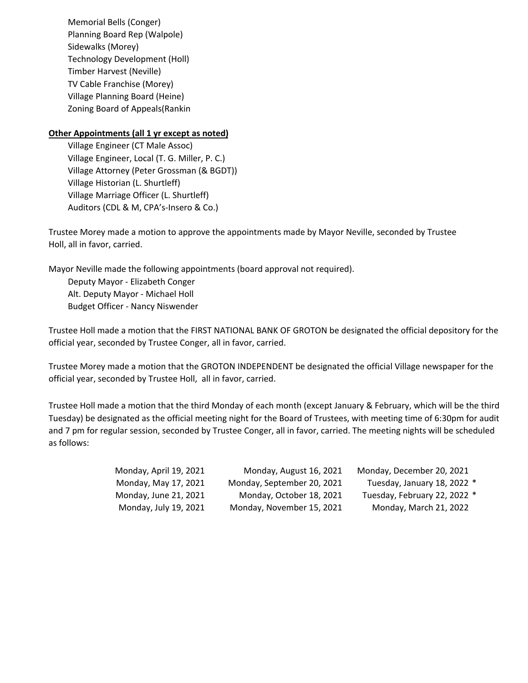Memorial Bells (Conger) Planning Board Rep (Walpole) Sidewalks (Morey) Technology Development (Holl) Timber Harvest (Neville) TV Cable Franchise (Morey) Village Planning Board (Heine) Zoning Board of Appeals(Rankin

### **Other Appointments (all 1 yr except as noted)**

Village Engineer (CT Male Assoc) Village Engineer, Local (T. G. Miller, P. C.) Village Attorney (Peter Grossman (& BGDT)) Village Historian (L. Shurtleff) Village Marriage Officer (L. Shurtleff) Auditors (CDL & M, CPA's‐Insero & Co.)

Trustee Morey made a motion to approve the appointments made by Mayor Neville, seconded by Trustee Holl, all in favor, carried.

Mayor Neville made the following appointments (board approval not required). Budget Officer ‐ Nancy Niswender Alt. Deputy Mayor ‐ Michael Holl Deputy Mayor ‐ Elizabeth Conger

Trustee Holl made a motion that the FIRST NATIONAL BANK OF GROTON be designated the official depository for the official year, seconded by Trustee Conger, all in favor, carried.

Trustee Morey made a motion that the GROTON INDEPENDENT be designated the official Village newspaper for the official year, seconded by Trustee Holl, all in favor, carried.

Trustee Holl made a motion that the third Monday of each month (except January & February, which will be the third Tuesday) be designated as the official meeting night for the Board of Trustees, with meeting time of 6:30pm for audit and 7 pm for regular session, seconded by Trustee Conger, all in favor, carried. The meeting nights will be scheduled as follows:

| Monday, April 19, 2021 | Monday, August 16, 2021    | Monday, December 20, 2021    |
|------------------------|----------------------------|------------------------------|
| Monday, May 17, 2021   | Monday, September 20, 2021 | Tuesday, January 18, 2022 *  |
| Monday, June 21, 2021  | Monday, October 18, 2021   | Tuesday, February 22, 2022 * |
| Monday, July 19, 2021  | Monday, November 15, 2021  | Monday, March 21, 2022       |